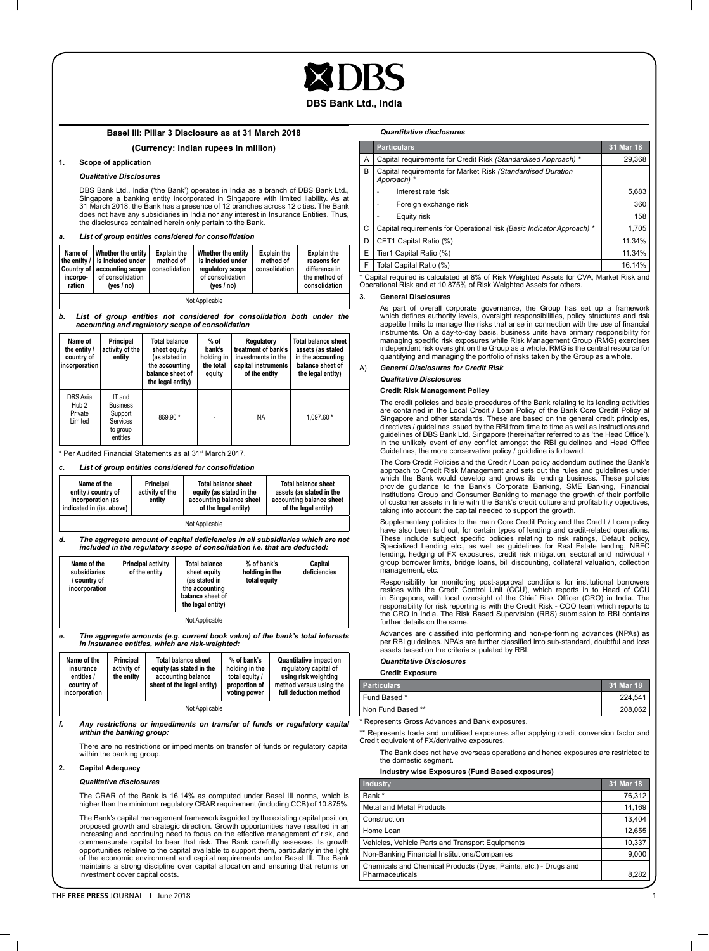#### **DBS Bank Ltd., India**

## **Basel III: Pillar 3 Disclosure as at 31 March 2018**

#### **(Currency: Indian rupees in million)**

#### **1. Scope of application**

### *Qualitative Disclosures*

DBS Bank Ltd., India ('the Bank') operates in India as a branch of DBS Bank Ltd., Singapore a banking entity incorporated in Singapore with limited liability. As at<br>31 March 2018, the Bank has a presence of 12 branches across 12 cities. The Bank<br>does not have any subsidiaries in India nor any interest i the disclosures contained herein only pertain to the Bank.

*a. List of group entities considered for consolidation*

| Name of<br>incorpo-<br>ration | Whether the entity<br>the entity / is included under<br>Country of accounting scope<br>of consolidation<br>ives / no) | <b>Explain the</b><br>method of<br>consolidation | Whether the entity<br>is included under<br>regulatory scope<br>of consolidation<br>(yes $/$ no) | <b>Explain the</b><br>method of<br>consolidation | <b>Explain the</b><br>reasons for<br>difference in<br>the method of<br>consolidation |  |  |
|-------------------------------|-----------------------------------------------------------------------------------------------------------------------|--------------------------------------------------|-------------------------------------------------------------------------------------------------|--------------------------------------------------|--------------------------------------------------------------------------------------|--|--|
| Not Applicable                |                                                                                                                       |                                                  |                                                                                                 |                                                  |                                                                                      |  |  |

*b. List of group entities not considered for consolidation both under the accounting and regulatory scope of consolidation*

| Name of<br>the entity /<br>country of<br>incorporation | Principal<br>activity of the<br>entity                                   | <b>Total balance</b><br>sheet equity<br>(as stated in<br>the accounting<br>balance sheet of<br>the legal entity) | $%$ of<br>bank's<br>holding in<br>the total<br>equity | Regulatory<br>treatment of bank's<br>investments in the<br>capital instruments<br>of the entity | <b>Total balance sheet</b><br>assets (as stated<br>in the accounting<br>balance sheet of<br>the legal entity) |
|--------------------------------------------------------|--------------------------------------------------------------------------|------------------------------------------------------------------------------------------------------------------|-------------------------------------------------------|-------------------------------------------------------------------------------------------------|---------------------------------------------------------------------------------------------------------------|
| DBS Asia<br>Hub <sub>2</sub><br>Private<br>Limited     | IT and<br><b>Business</b><br>Support<br>Services<br>to group<br>entities | 869.90 *                                                                                                         |                                                       | NA                                                                                              | 1.097.60 *                                                                                                    |

<sup>\*</sup> Per Audited Financial Statements as at 31<sup>st</sup> March 2017.

*c. List of group entities considered for consolidation*

| Name of the<br>entity / country of<br>incorporation (as<br>indicated in (i)a. above) | Principal<br>activity of the<br>entity | <b>Total balance sheet</b><br>equity (as stated in the<br>accounting balance sheet<br>of the legal entity) | <b>Total balance sheet</b><br>assets (as stated in the<br>accounting balance sheet<br>of the legal entity) |  |  |  |
|--------------------------------------------------------------------------------------|----------------------------------------|------------------------------------------------------------------------------------------------------------|------------------------------------------------------------------------------------------------------------|--|--|--|
| Not Applicable                                                                       |                                        |                                                                                                            |                                                                                                            |  |  |  |

*d. The aggregate amount of capital deficiencies in all subsidiaries which are not included in the regulatory scope of consolidation i.e. that are deducted:*

| Name of the<br>subsidiaries<br>/ country of<br>incorporation | <b>Principal activity</b><br>of the entity | <b>Total balance</b><br>sheet equity<br>(as stated in<br>the accounting<br>balance sheet of<br>the legal entity) | % of bank's<br>holding in the<br>total equity | Capital<br>deficiencies |  |  |
|--------------------------------------------------------------|--------------------------------------------|------------------------------------------------------------------------------------------------------------------|-----------------------------------------------|-------------------------|--|--|
| Not Applicable                                               |                                            |                                                                                                                  |                                               |                         |  |  |

*e. The aggregate amounts (e.g. current book value) of the bank's total interests in insurance entities, which are risk-weighted:*

| Name of the<br>insurance<br>entities /<br>country of<br>incorporation | Principal<br>activity of<br>the entity | <b>Total balance sheet</b><br>equity (as stated in the<br>accounting balance<br>sheet of the legal entity) | % of bank's<br>holding in the<br>total equity /<br>proportion of<br>voting power | Quantitative impact on<br>regulatory capital of<br>using risk weighting<br>method versus using the<br>full deduction method |  |  |
|-----------------------------------------------------------------------|----------------------------------------|------------------------------------------------------------------------------------------------------------|----------------------------------------------------------------------------------|-----------------------------------------------------------------------------------------------------------------------------|--|--|
| Not Applicable                                                        |                                        |                                                                                                            |                                                                                  |                                                                                                                             |  |  |

*f. Any restrictions or impediments on transfer of funds or regulatory capital within the banking group:*

There are no restrictions or impediments on transfer of funds or regulatory capital within the banking group.

#### **2. Capital Adequacy**

#### *Qualitative disclosures*

The CRAR of the Bank is 16.14% as computed under Basel III norms, which is higher than the minimum regulatory CRAR requirement (including CCB) of 10.875%.

The Bank's capital management framework is guided by the existing capital position, proposed growth and strategic direction. Growth opportunities have resulted in an increasing and continuing need to focus on the effective management of risk, and commensurate capital to bear that risk. The Bank carefully assesses its growth<br>opportunities relative to the capital available to support them, particularly in the light<br>of the economic environment and capital requirements maintains a strong discipline over capital allocation and ensuring that returns on investment cover capital costs.

#### *Quantitative disclosures*

|   | <b>Particulars</b>                                                                      | 31 Mar 18 |
|---|-----------------------------------------------------------------------------------------|-----------|
| A | Capital requirements for Credit Risk (Standardised Approach) *                          | 29,368    |
| В | Capital requirements for Market Risk (Standardised Duration<br>Approach) *              |           |
|   | Interest rate risk                                                                      | 5.683     |
|   | Foreign exchange risk                                                                   | 360       |
|   | Equity risk                                                                             | 158       |
| С | Capital requirements for Operational risk (Basic Indicator Approach) *                  | 1.705     |
| D | CET1 Capital Ratio (%)                                                                  | 11.34%    |
| E | Tier1 Capital Ratio (%)                                                                 | 11.34%    |
| F | Total Capital Ratio (%)                                                                 | 16.14%    |
|   | * Capital required is calculated at 8% of Risk Weighted Assets for CVA, Market Risk and |           |

Operational Risk and at 10.875% of Risk Weighted Assets for others.

#### **3. General Disclosures**

As part of overall corporate governance, the Group has set up a framework which defines authority levels, oversight responsibilities, policy structures and risk appetite limits to manage the risks that arise in connection with the use of financial<br>instruments. On a day-to-day basis, business units have primary responsibility for<br>managing specific risk exposures while Risk Manageme quantifying and managing the portfolio of risks taken by the Group as a whole.

#### A) *General Disclosures for Credit Risk*

#### *Qualitative Disclosures*

#### **Credit Risk Management Policy**

The credit policies and basic procedures of the Bank relating to its lending activities are contained in the Local Credit / Loan Policy of the Bank Core Credit Policy at Singapore and other standards. These are based on the general credit principles, directives / guidelines issued by the RBI from time to time as well as instructions and guidelines of DBS Bank Ltd, Singapore (hereinafter referred to as 'the Head Office'). In the unlikely event of any conflict amongst the RBI guidelines and Head Office Guidelines, the more conservative policy / guideline is followed.

The Core Credit Policies and the Credit / Loan policy addendum outlines the Bank's approach to Credit Risk Management and sets out the rules and guidelines under<br>which the Bank would develop and grows its lending business. These policies<br>provide guidance to the Bank's Corporate Banking, SME Banking, Fina of customer assets in line with the Bank's credit culture and profitability objectives, taking into account the capital needed to support the growth.

Supplementary policies to the main Core Credit Policy and the Credit / Loan policy have also been laid out, for certain types of lending and credit-related operations.<br>These include subject specific policies relating to risk ratings, Default policy,<br>Specialized Lending etc., as well as guidelines for Rea group borrower limits, bridge loans, bill discounting, collateral valuation, collection management, etc.

Responsibility for monitoring post-approval conditions for institutional borrowers resides with the Credit Control Unit (CCU), which reports in to Head of CCU in Singapore, with local oversight of the Chief Risk Officer (CRO) in India. The responsibility for risk reporting is with the Credit Risk - COO team which reports to the CRO in India. The Risk Based Supervision (RBS) submission to RBI contains further details on the same.

Advances are classified into performing and non-performing advances (NPAs) as per RBI guidelines. NPA's are further classified into sub-standard, doubtful and loss assets based on the criteria stipulated by RBI.

#### *Quantitative Disclosures*

**Credit Exposure**

| <b>Particulars</b> | 31 Mar 18 |
|--------------------|-----------|
| Fund Based *       | 224.541   |
| Non Fund Based **  | 208.062   |
| __<br>$-$          |           |

Represents Gross Advances and Bank exposures.

\*\* Represents trade and unutilised exposures after applying credit conversion factor and Credit equivalent of FX/derivative exposures.

The Bank does not have overseas operations and hence exposures are restricted to the domestic segment.

#### **Industry wise Exposures (Fund Based exposures)**

| Industry                                                         | 31 Mar 18 |
|------------------------------------------------------------------|-----------|
| Bank*                                                            | 76,312    |
| Metal and Metal Products                                         | 14,169    |
| Construction                                                     | 13,404    |
| Home Loan                                                        | 12,655    |
| Vehicles, Vehicle Parts and Transport Equipments                 | 10.337    |
| Non-Banking Financial Institutions/Companies                     | 9,000     |
| Chemicals and Chemical Products (Dyes, Paints, etc.) - Drugs and |           |
| Pharmaceuticals                                                  | 8.282     |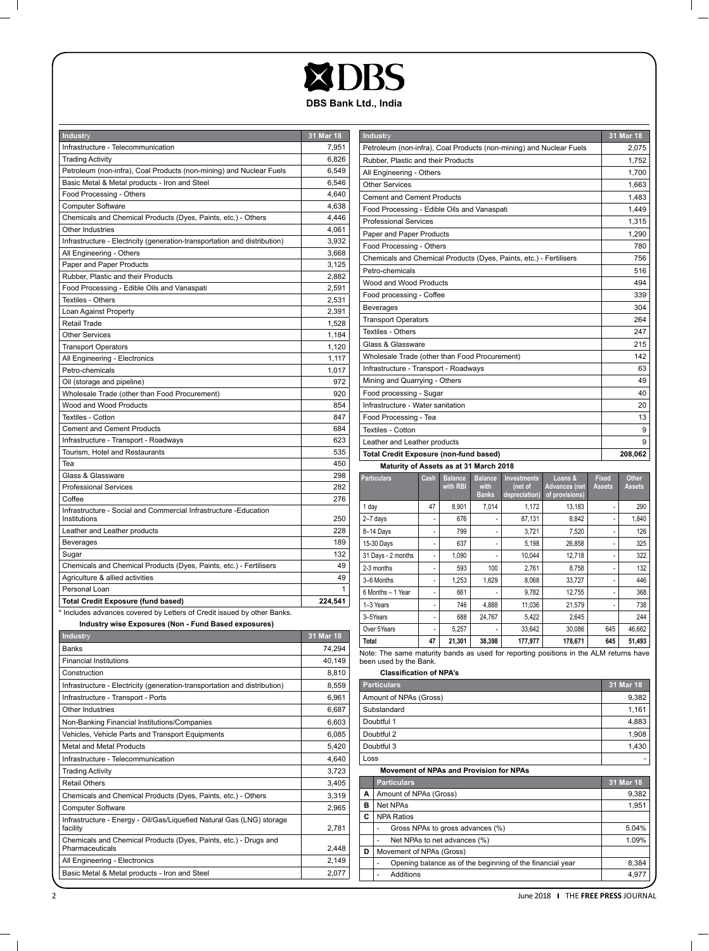# **XDBS DBS Bank Ltd., India**

| Industry                                                                  | 31 Mar 18  |
|---------------------------------------------------------------------------|------------|
| Infrastructure - Telecommunication                                        | 7,951      |
| <b>Trading Activity</b>                                                   | 6,826      |
| Petroleum (non-infra), Coal Products (non-mining) and Nuclear Fuels       | 6,549      |
| Basic Metal & Metal products - Iron and Steel                             | 6,546      |
| Food Processing - Others                                                  | 4,640      |
| <b>Computer Software</b>                                                  | 4,638      |
| Chemicals and Chemical Products (Dyes, Paints, etc.) - Others             | 4,446      |
| Other Industries                                                          | 4,061      |
| Infrastructure - Electricity (generation-transportation and distribution) | 3,932      |
| All Engineering - Others                                                  | 3,668      |
| Paper and Paper Products                                                  | 3,125      |
| Rubber, Plastic and their Products                                        | 2,882      |
| Food Processing - Edible Oils and Vanaspati                               | 2,591      |
| Textiles - Others                                                         | 2,531      |
| Loan Against Property                                                     | 2,391      |
| Retail Trade                                                              | 1,528      |
| <b>Other Services</b>                                                     | 1,184      |
| <b>Transport Operators</b>                                                | 1,120      |
| All Engineering - Electronics                                             | 1,117      |
| Petro-chemicals                                                           | 1,017      |
| Oil (storage and pipeline)                                                | 972        |
| Wholesale Trade (other than Food Procurement)                             | 920        |
| Wood and Wood Products                                                    | 854        |
| Textiles - Cotton                                                         | 847        |
| <b>Cement and Cement Products</b>                                         | 684        |
| Infrastructure - Transport - Roadways                                     | 623        |
| Tourism, Hotel and Restaurants                                            | 535        |
| Tea<br>Glass & Glassware                                                  | 450        |
| <b>Professional Services</b>                                              | 298<br>282 |
| Coffee                                                                    | 276        |
| Infrastructure - Social and Commercial Infrastructure - Education         |            |
| Institutions                                                              | 250        |
| Leather and Leather products                                              | 228        |
| Beverages                                                                 | 189        |
| Sugar                                                                     | 132        |
| Chemicals and Chemical Products (Dyes, Paints, etc.) - Fertilisers        | 49         |
| Agriculture & allied activities                                           | 49         |
| Personal Loan                                                             |            |
| <b>Total Credit Exposure (fund based)</b>                                 | 224,541    |
| * Includes advances covered by Letters of Credit issued by other Banks.   |            |
| Industry wise Exposures (Non - Fund Based exposures)                      |            |
| Industry                                                                  | 31 Mar 18  |
| <b>Banks</b>                                                              | 74,294     |
| <b>Financial Institutions</b>                                             | 40,149     |
| Construction                                                              | 8,810      |
| Infrastructure - Electricity (generation-transportation and distribution) | 8,559      |
| Infrastructure - Transport - Ports                                        | 6,961      |
| Other Industries                                                          | 6,687      |
| Non-Banking Financial Institutions/Companies                              | 6,603      |
| Vehicles, Vehicle Parts and Transport Equipments                          | 6,085      |
| Metal and Metal Products                                                  | 5,420      |
| Infrastructure - Telecommunication                                        | 4,640      |
| <b>Trading Activity</b>                                                   | 3,723      |
| <b>Retail Others</b>                                                      | 3,405      |
| Chemicals and Chemical Products (Dyes, Paints, etc.) - Others             | 3,319      |
| <b>Computer Software</b>                                                  | 2,965      |

Infrastructure - Energy - Oil/Gas/Liquefied Natural Gas (LNG) storage facility 2,781 Chemicals and Chemical Products (Dyes, Paints, etc.) - Drugs and Pharmaceuticals 2,448 All Engineering - Electronics 2,149 Basic Metal & Metal products - Iron and Steel 2,077

| Industry                                                                              |                                    |                            |                        |                               |                                 |       |                               | 31 Mar 18              |
|---------------------------------------------------------------------------------------|------------------------------------|----------------------------|------------------------|-------------------------------|---------------------------------|-------|-------------------------------|------------------------|
| Petroleum (non-infra), Coal Products (non-mining) and Nuclear Fuels                   |                                    |                            |                        |                               |                                 |       |                               | 2,075                  |
|                                                                                       | Rubber, Plastic and their Products |                            |                        |                               |                                 |       | 1,752                         |                        |
| All Engineering - Others                                                              |                                    |                            |                        |                               |                                 | 1,700 |                               |                        |
| <b>Other Services</b>                                                                 |                                    |                            |                        |                               |                                 |       |                               | 1.663                  |
| <b>Cement and Cement Products</b>                                                     |                                    |                            |                        |                               |                                 |       |                               | 1,483                  |
| Food Processing - Edible Oils and Vanaspati                                           |                                    |                            |                        |                               |                                 |       |                               | 1,449                  |
| <b>Professional Services</b>                                                          |                                    |                            |                        |                               |                                 |       |                               | 1,315                  |
| Paper and Paper Products                                                              |                                    |                            |                        |                               |                                 |       |                               | 1,290                  |
| Food Processing - Others                                                              |                                    |                            |                        |                               |                                 |       |                               | 780                    |
| Chemicals and Chemical Products (Dyes, Paints, etc.) - Fertilisers                    |                                    |                            |                        |                               |                                 |       |                               | 756                    |
| Petro-chemicals                                                                       |                                    |                            |                        |                               |                                 |       |                               | 516                    |
| Wood and Wood Products                                                                |                                    |                            |                        |                               |                                 |       |                               | 494                    |
| Food processing - Coffee                                                              |                                    |                            |                        |                               |                                 |       |                               | 339                    |
| Beverages                                                                             |                                    |                            |                        |                               |                                 |       |                               | 304                    |
| <b>Transport Operators</b>                                                            |                                    |                            |                        |                               |                                 |       |                               | 264                    |
| Textiles - Others                                                                     |                                    |                            |                        |                               |                                 |       |                               | 247                    |
| Glass & Glassware                                                                     |                                    |                            |                        |                               |                                 |       |                               | 215                    |
| Wholesale Trade (other than Food Procurement)                                         |                                    |                            |                        |                               |                                 |       |                               | 142                    |
| Infrastructure - Transport - Roadways                                                 |                                    |                            |                        |                               |                                 |       |                               | 63                     |
| Mining and Quarrying - Others                                                         |                                    |                            |                        |                               |                                 |       |                               | 49                     |
| Food processing - Sugar                                                               |                                    |                            |                        |                               |                                 |       |                               | 40                     |
| Infrastructure - Water sanitation                                                     |                                    |                            |                        |                               |                                 |       | 20                            |                        |
| Food Processing - Tea                                                                 |                                    |                            |                        |                               |                                 |       |                               | 13                     |
| Textiles - Cotton                                                                     |                                    |                            |                        |                               |                                 |       |                               | 9                      |
| Leather and Leather products                                                          |                                    |                            |                        |                               |                                 |       |                               | 9                      |
| Total Credit Exposure (non-fund based)                                                |                                    |                            |                        |                               |                                 |       |                               | 208,062                |
| Maturity of Assets as at 31 March 2018                                                |                                    |                            |                        |                               |                                 |       |                               |                        |
| <b>Particulars</b>                                                                    | Cash                               | <b>Balance</b><br>with RBI | <b>Balance</b><br>with | <b>Investments</b><br>(net of | Loans &<br><b>Advances</b> (net |       | <b>Fixed</b><br><b>Assets</b> | Other<br><b>Assets</b> |
|                                                                                       |                                    |                            | <b>Banks</b>           | depreciation)                 | of provisions)                  |       |                               |                        |
| 1 day                                                                                 | 47                                 | 8,901                      | 7,014                  | 1,172                         | 13,183                          |       |                               | 290                    |
| 2-7 days                                                                              | ä,                                 | 676                        | ä,                     | 87,131                        | 8,842                           |       | ä,                            | 1,840                  |
| 8-14 Days                                                                             | ä,                                 | 799                        | ×,                     | 3.721                         | 7,520                           |       | ä,                            | 126                    |
| 15-30 Days                                                                            | i,                                 | 637                        | ٠                      | 5,198                         | 26,858                          |       | ä,                            | 325                    |
| 31 Days - 2 months                                                                    | ÷,                                 | 1,090                      | ä,                     | 10,044                        | 12,718                          |       | ä,                            | 322                    |
| 2-3 months                                                                            | $\overline{a}$                     | 593                        | 100                    | 2,761                         | 8,758                           |       | $\overline{a}$                | 132                    |
| 3-6 Months                                                                            | ä,                                 | 1,253                      | 1,629                  | 8,068                         | 33,727                          |       | ä,                            | 446                    |
| 6 Months - 1 Year                                                                     | ä,                                 | 661                        |                        | 9,782                         | 12,755                          |       | ä,                            | 368                    |
| 1-3 Years                                                                             | i,                                 | 746                        | 4,888                  | 11,036                        | 21,579                          |       | L,                            | 738                    |
| 3-5Years                                                                              | ł,                                 | 688                        | 24.767                 | 5.422                         | 2,645                           |       |                               | 244                    |
| Over 5Years                                                                           | L                                  | 5,257                      |                        | 33,642                        | 30,086                          |       | 645                           | 46,662                 |
| <b>Total</b>                                                                          | 47                                 | 21,301                     | 38,398                 | 177,977                       | 178,671                         |       | 645                           | 51,493                 |
| Note: The same maturity bands as used for reporting positions in the ALM returns have |                                    |                            |                        |                               |                                 |       |                               |                        |
| been used by the Bank.                                                                |                                    |                            |                        |                               |                                 |       |                               |                        |
| <b>Classification of NPA's</b><br>31 Mar 18                                           |                                    |                            |                        |                               |                                 |       |                               |                        |
| <b>Particulars</b><br>Amount of NPAs (Gross)                                          |                                    |                            |                        |                               |                                 |       | 9,382                         |                        |
| Substandard                                                                           |                                    |                            |                        |                               |                                 |       |                               | 1,161                  |
| Doubtful 1                                                                            |                                    |                            |                        |                               |                                 |       |                               |                        |
| Doubtful 2                                                                            |                                    |                            |                        |                               |                                 |       |                               | 4,883<br>1,908         |
|                                                                                       |                                    |                            |                        |                               |                                 |       |                               |                        |

 $\mathbf{I}$ 

Doubtful 3 Loss -

**Movement of NPAs and Provision for NPAs**

|   | <b>Particulars</b>                                        | 31 Mar 18 |
|---|-----------------------------------------------------------|-----------|
| А | Amount of NPAs (Gross)                                    | 9,382     |
| в | Net NPAs                                                  | 1,951     |
| c | <b>NPA Ratios</b>                                         |           |
|   | Gross NPAs to gross advances (%)                          | 5.04%     |
|   | Net NPAs to net advances (%)                              | 1.09%     |
| D | Movement of NPAs (Gross)                                  |           |
|   | Opening balance as of the beginning of the financial year | 8,384     |
|   | Additions                                                 | 4.977     |

 $\mathbb{R}^n$ 

 $=$   $\overline{1}$ 

 $\mathbb{R}$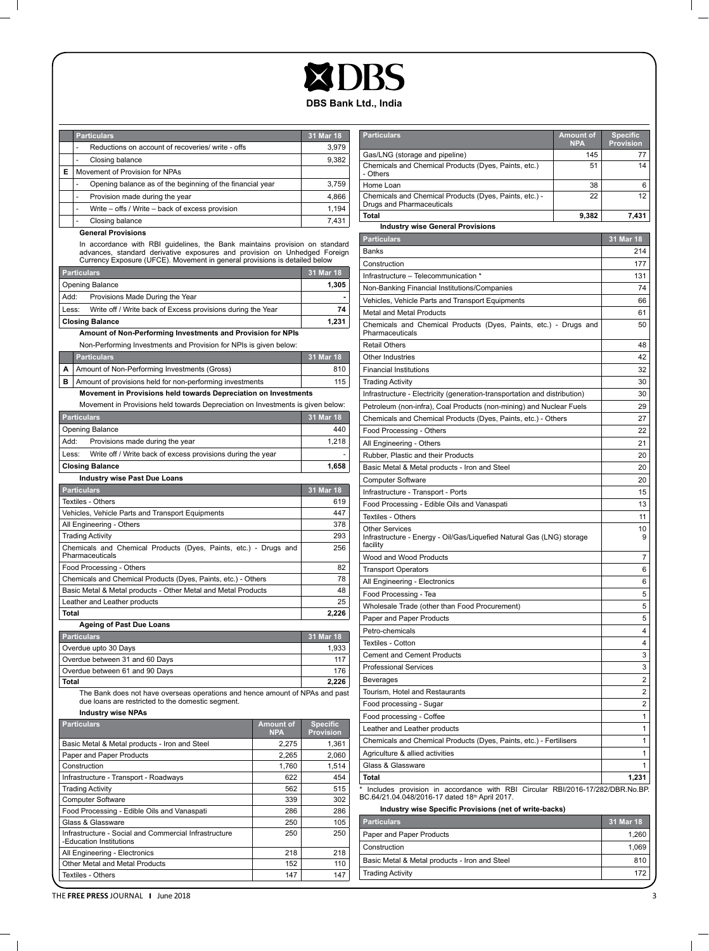# XDBS **DBS Bank Ltd., India**

|   | <b>Particulars</b>                                        | 31 Mar 18 |
|---|-----------------------------------------------------------|-----------|
|   | Reductions on account of recoveries/ write - offs         | 3.979     |
|   | Closing balance                                           | 9,382     |
| Е | Movement of Provision for NPAs                            |           |
|   | Opening balance as of the beginning of the financial year | 3,759     |
|   | Provision made during the year                            | 4.866     |
|   | Write - offs / Write - back of excess provision           | 1.194     |
|   | Closing balance                                           | 7.431     |

### **General Provisions**

 $\mathbb{R}$ 

In accordance with RBI guidelines, the Bank maintains provision on standard<br>advances, standard derivative exposures and provision on Unhedged Foreign<br>Currency Exposure (UFCE). Movement in general provisions is detailed bel

|                                                                                                                                   | Currency Exposure (UFCE). Movement in general provisions is detailed below      |                  |                 |
|-----------------------------------------------------------------------------------------------------------------------------------|---------------------------------------------------------------------------------|------------------|-----------------|
| <b>Particulars</b>                                                                                                                |                                                                                 |                  | 31 Mar 18       |
| Opening Balance                                                                                                                   |                                                                                 |                  | 1,305           |
| :Add                                                                                                                              | Provisions Made During the Year                                                 |                  |                 |
| Less:                                                                                                                             | Write off / Write back of Excess provisions during the Year                     |                  | 74              |
| <b>Closing Balance</b>                                                                                                            |                                                                                 |                  | 1,231           |
|                                                                                                                                   | Amount of Non-Performing Investments and Provision for NPIs                     |                  |                 |
|                                                                                                                                   | Non-Performing Investments and Provision for NPIs is given below:               |                  |                 |
| <b>Particulars</b>                                                                                                                |                                                                                 |                  | 31 Mar 18       |
| А<br>Amount of Non-Performing Investments (Gross)                                                                                 |                                                                                 |                  | 810             |
| в                                                                                                                                 | Amount of provisions held for non-performing investments                        |                  | 115             |
|                                                                                                                                   | Movement in Provisions held towards Depreciation on Investments                 |                  |                 |
|                                                                                                                                   | Movement in Provisions held towards Depreciation on Investments is given below: |                  |                 |
| <b>Particulars</b>                                                                                                                |                                                                                 |                  | 31 Mar 18       |
| Opening Balance                                                                                                                   |                                                                                 |                  | 440             |
| Add:<br>Provisions made during the year                                                                                           |                                                                                 |                  | 1,218           |
| Less:                                                                                                                             | Write off / Write back of excess provisions during the year                     |                  |                 |
| <b>Closing Balance</b>                                                                                                            |                                                                                 |                  | 1,658           |
| <b>Industry wise Past Due Loans</b>                                                                                               |                                                                                 |                  |                 |
| <b>Particulars</b>                                                                                                                |                                                                                 |                  | 31 Mar 18       |
| Textiles - Others                                                                                                                 |                                                                                 |                  | 619             |
| Vehicles, Vehicle Parts and Transport Equipments                                                                                  |                                                                                 |                  | 447             |
| All Engineering - Others                                                                                                          |                                                                                 |                  | 378             |
| <b>Trading Activity</b>                                                                                                           |                                                                                 |                  | 293             |
| Chemicals and Chemical Products (Dyes, Paints, etc.) - Drugs and<br>Pharmaceuticals                                               |                                                                                 |                  | 256             |
| Food Processing - Others                                                                                                          |                                                                                 |                  | 82              |
|                                                                                                                                   | Chemicals and Chemical Products (Dyes, Paints, etc.) - Others                   |                  | 78              |
|                                                                                                                                   | Basic Metal & Metal products - Other Metal and Metal Products                   |                  | 48              |
| Leather and Leather products                                                                                                      |                                                                                 |                  | 25              |
| Total                                                                                                                             |                                                                                 |                  | 2,226           |
| <b>Ageing of Past Due Loans</b>                                                                                                   |                                                                                 |                  |                 |
| <b>Particulars</b>                                                                                                                |                                                                                 |                  | 31 Mar 18       |
| Overdue upto 30 Days                                                                                                              |                                                                                 | 1,933            |                 |
| Overdue between 31 and 60 Days                                                                                                    |                                                                                 |                  | 117             |
| Overdue between 61 and 90 Days                                                                                                    |                                                                                 |                  | 176             |
| Total                                                                                                                             |                                                                                 |                  | 2.226           |
| The Bank does not have overseas operations and hence amount of NPAs and past<br>due loans are restricted to the domestic segment. |                                                                                 |                  |                 |
| <b>Industry wise NPAs</b>                                                                                                         |                                                                                 |                  |                 |
| <b>Particulars</b>                                                                                                                |                                                                                 | <b>Amount of</b> | <b>Specific</b> |

| <b>Particulars</b>                                                               | Amount of<br><b>NPA</b> | <b>Specific</b><br><b>Provision</b> |
|----------------------------------------------------------------------------------|-------------------------|-------------------------------------|
| Basic Metal & Metal products - Iron and Steel                                    | 2,275                   | 1.361                               |
| Paper and Paper Products                                                         | 2.265                   | 2.060                               |
| Construction                                                                     | 1.760                   | 1.514                               |
| Infrastructure - Transport - Roadways                                            | 622                     | 454                                 |
| <b>Trading Activity</b>                                                          | 562                     | 515                                 |
| <b>Computer Software</b>                                                         | 339                     | 302                                 |
| Food Processing - Edible Oils and Vanaspati                                      | 286                     | 286                                 |
| Glass & Glassware                                                                | 250                     | 105                                 |
| Infrastructure - Social and Commercial Infrastructure<br>-Education Institutions | 250                     | 250                                 |
| All Engineering - Electronics                                                    | 218                     | 218                                 |
| Other Metal and Metal Products                                                   | 152                     | 110                                 |
| Textiles - Others                                                                | 147                     | 147                                 |

| <b>Particulars</b>                                                                                                                          | <b>Amount of</b>  | <b>Specific</b>        |
|---------------------------------------------------------------------------------------------------------------------------------------------|-------------------|------------------------|
| Gas/LNG (storage and pipeline)                                                                                                              | <b>NPA</b><br>145 | <b>Provision</b><br>77 |
| Chemicals and Chemical Products (Dyes, Paints, etc.)                                                                                        | 51                | 14                     |
| - Others                                                                                                                                    |                   |                        |
| Home Loan                                                                                                                                   | 38                | 6                      |
| Chemicals and Chemical Products (Dyes, Paints, etc.) -<br>Drugs and Pharmaceuticals                                                         | 22                | 12                     |
| Total                                                                                                                                       | 9,382             | 7,431                  |
| <b>Industry wise General Provisions</b>                                                                                                     |                   |                        |
| <b>Particulars</b>                                                                                                                          |                   | 31 Mar 18              |
| Banks                                                                                                                                       |                   | 214                    |
| Construction                                                                                                                                |                   | 177                    |
| Infrastructure - Telecommunication *                                                                                                        |                   | 131                    |
| Non-Banking Financial Institutions/Companies                                                                                                |                   | 74                     |
| Vehicles, Vehicle Parts and Transport Equipments                                                                                            |                   | 66                     |
| Metal and Metal Products                                                                                                                    |                   | 61                     |
| Chemicals and Chemical Products (Dyes, Paints, etc.) - Drugs and<br>Pharmaceuticals                                                         |                   | 50                     |
| <b>Retail Others</b>                                                                                                                        |                   | 48                     |
| Other Industries                                                                                                                            |                   | 42                     |
| <b>Financial Institutions</b>                                                                                                               |                   | 32                     |
| <b>Trading Activity</b>                                                                                                                     |                   | 30                     |
| Infrastructure - Electricity (generation-transportation and distribution)                                                                   |                   | 30                     |
| Petroleum (non-infra), Coal Products (non-mining) and Nuclear Fuels                                                                         |                   | 29                     |
| Chemicals and Chemical Products (Dyes, Paints, etc.) - Others                                                                               |                   | 27                     |
| Food Processing - Others                                                                                                                    |                   | 22                     |
| All Engineering - Others                                                                                                                    |                   | 21                     |
| Rubber, Plastic and their Products                                                                                                          | 20                |                        |
| Basic Metal & Metal products - Iron and Steel                                                                                               | 20                |                        |
| <b>Computer Software</b>                                                                                                                    |                   | 20                     |
| Infrastructure - Transport - Ports                                                                                                          |                   | 15                     |
| Food Processing - Edible Oils and Vanaspati                                                                                                 |                   | 13                     |
| Textiles - Others                                                                                                                           |                   | 11                     |
| <b>Other Services</b><br>Infrastructure - Energy - Oil/Gas/Liquefied Natural Gas (LNG) storage<br>facility                                  |                   | 10<br>9                |
| Wood and Wood Products                                                                                                                      |                   | 7                      |
| <b>Transport Operators</b>                                                                                                                  |                   | 6                      |
| All Engineering - Electronics                                                                                                               |                   | 6                      |
| Food Processing - Tea                                                                                                                       |                   | 5                      |
| Wholesale Trade (other than Food Procurement)                                                                                               |                   | 5                      |
| Paper and Paper Products                                                                                                                    |                   | 5                      |
| Petro-chemicals                                                                                                                             |                   | 4                      |
| Textiles - Cotton                                                                                                                           |                   | 4                      |
| <b>Cement and Cement Products</b>                                                                                                           |                   | 3                      |
| <b>Professional Services</b>                                                                                                                |                   | 3                      |
| Beverages                                                                                                                                   |                   | 2                      |
| Tourism, Hotel and Restaurants                                                                                                              |                   | 2                      |
| Food processing - Sugar                                                                                                                     |                   | 2                      |
| Food processing - Coffee                                                                                                                    |                   | 1                      |
| Leather and Leather products                                                                                                                |                   | 1                      |
| Chemicals and Chemical Products (Dyes, Paints, etc.) - Fertilisers                                                                          |                   | 1                      |
| Agriculture & allied activities                                                                                                             | 1                 |                        |
| Glass & Glassware                                                                                                                           | 1                 |                        |
| Total                                                                                                                                       | 1,231             |                        |
| Includes provision in accordance with RBI Circular RBI/2016-17/282/DBR.No.BP.<br>BC.64/21.04.048/2016-17 dated 18 <sup>th</sup> April 2017. |                   |                        |
| Industry wise Specific Provisions (net of write-backs)<br><b>Death of Long 1</b>                                                            |                   | <b>24 May 40</b>       |

| <b>Particulars</b>                            | . 31 Mar 18 ' |
|-----------------------------------------------|---------------|
| Paper and Paper Products                      | 1.260         |
| Construction                                  | 1.069         |
| Basic Metal & Metal products - Iron and Steel | 810           |
| <b>Trading Activity</b>                       | 172           |

THE FREE PRESS JOURNAL 1 June 2018 3

 $=$   $\overline{1}$ 

 $\overline{\phantom{0}}$  $\mathbb{R}^n$ 

 $\mathbf{I}$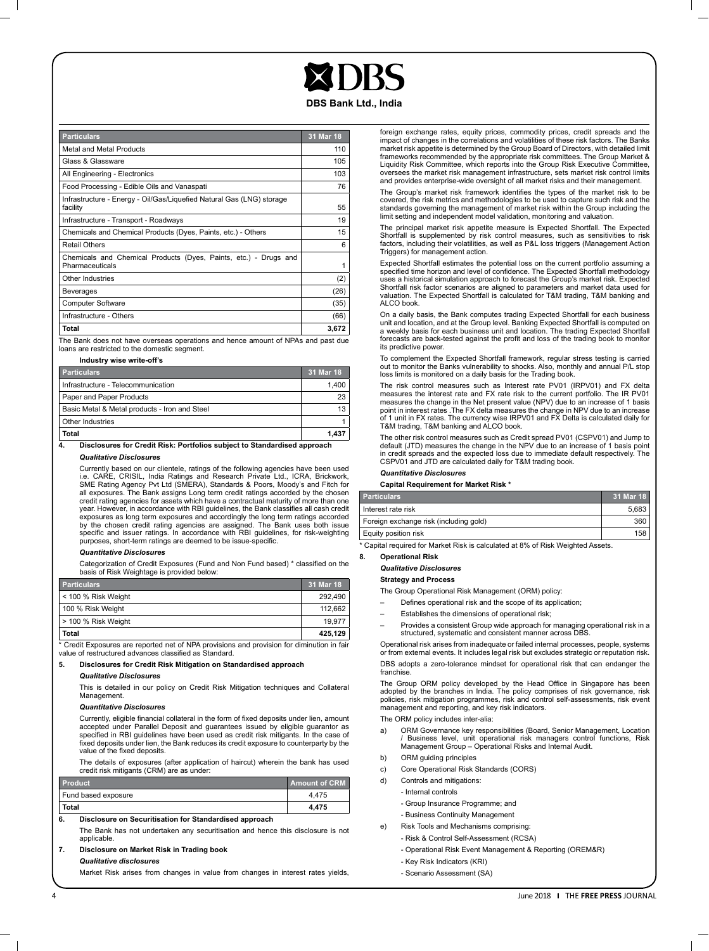#### **DBS Bank Ltd., India**

| <b>Particulars</b>                                                                  | 31 Mar 18 |
|-------------------------------------------------------------------------------------|-----------|
| Metal and Metal Products                                                            | 110       |
| Glass & Glassware                                                                   | 105       |
| All Engineering - Electronics                                                       | 103       |
| Food Processing - Edible Oils and Vanaspati                                         | 76        |
| Infrastructure - Energy - Oil/Gas/Liguefied Natural Gas (LNG) storage<br>facility   | 55        |
| Infrastructure - Transport - Roadways                                               | 19        |
| Chemicals and Chemical Products (Dyes, Paints, etc.) - Others                       | 15        |
| Retail Others                                                                       | 6         |
| Chemicals and Chemical Products (Dyes, Paints, etc.) - Drugs and<br>Pharmaceuticals | 1         |
| Other Industries                                                                    | (2)       |
| Beverages                                                                           | (26)      |
| <b>Computer Software</b>                                                            | (35)      |
| Infrastructure - Others                                                             | (66)      |
| Total                                                                               | 3,672     |

The Bank does not have overseas operations and hence amount of NPAs and past due loans are restricted to the domestic segment.

**Industry wise write-off's**

| <b>Particulars</b>                            | 31 Mar 18 |
|-----------------------------------------------|-----------|
| Infrastructure - Telecommunication            | 1.400     |
| Paper and Paper Products                      | 23        |
| Basic Metal & Metal products - Iron and Steel | 13        |
| Other Industries                              |           |
| Total                                         | 1.437     |

#### **4. Disclosures for Credit Risk: Portfolios subject to Standardised approach** *Qualitative Disclosures*

Currently based on our clientele, ratings of the following agencies have been used<br>i.e. CARE, CRISIL, India Ratings and Research Private Ltd., ICRA, Brickwork,<br>SME Rating Agency Pvt Ltd (SMERA), Standards & Poors, Moody's all exposures. The Bank assigns Long term credit ratings accorded by the chosen credit rating agencies for assets which have a contractual maturity of more than one

year. However, in accordance with RBI guidelines, the Bank classifies all cash credit exposures as long term exposures and accordingly the long term ratings accorded by the chosen credit rating agencies are assigned. The Bank uses both issue specific and issuer ratings. In accordance with RBI guidelines, for risk-weighting purposes, short-term ratings are deemed to be issue-specific.

#### *Quantitative Disclosures*

Categorization of Credit Exposures (Fund and Non Fund based) \* classified on the basis of Risk Weightage is provided below:

| <b>Particulars</b>    | 31 Mar 18 |
|-----------------------|-----------|
| l < 100 % Risk Weight | 292.490   |
| 100 % Risk Weight     | 112.662   |
| > 100 % Risk Weight   | 19.977    |
| Total                 | 425.129   |

\* Credit Exposures are reported net of NPA provisions and provision for diminution in fair value of restructured advances classified as Standard.

#### **5. Disclosures for Credit Risk Mitigation on Standardised approach**

#### *Qualitative Disclosures*

This is detailed in our policy on Credit Risk Mitigation techniques and Collateral Management.

#### *Quantitative Disclosures*

Currently, eligible financial collateral in the form of fixed deposits under lien, amount accepted under Parallel Deposit and guarantees issued by eligible guarantor as<br>specified in RBI guidelines have been used as credit risk mitigants. In the case of<br>fixed deposits underlien, the Bank reduces its credit expos value of the fixed deposits.

The details of exposures (after application of haircut) wherein the bank has used credit risk mitigants (CRM) are as under:

| <b>Product</b>      | <b>Amount of CRM</b> |
|---------------------|----------------------|
| Fund based exposure | 4.475                |
| Total               | 4.475                |

#### **6. Disclosure on Securitisation for Standardised approach**

The Bank has not undertaken any securitisation and hence this disclosure is not applicable.

#### **7. Disclosure on Market Risk in Trading book** *Qualitative disclosures*

Market Risk arises from changes in value from changes in interest rates yields,

foreign exchange rates, equity prices, commodity prices, credit spreads and the impact of changes in the correlations and volatilities of these risk factors. The Banks market risk appetite is determined by the Group Board of Directors, with detailed limit frameworks recommended by the appropriate risk committees. The Group Market & Liquidity Risk Committee, which reports into the Group Risk Executive Committee, oversees the market risk management infrastructure, sets market risk control limits and provides enterprise-wide oversight of all market risks and their management.

The Group's market risk framework identifies the types of the market risk to be covered, the risk metrics and methodologies to be used to capture such risk and the standards governing the management of market risk within the Group including the limit setting and independent model validation, monitoring and valuation.

The principal market risk appetite measure is Expected Shortfall. The Expected Shortfall is supplemented by risk control measures, such as sensitivities to risk factors, including their volatilities, as well as P&L loss triggers (Management Action Triggers) for management action.

Expected Shortfall estimates the potential loss on the current portfolio assuming a specified time horizon and level of confidence. The Expected Shortfall methodology uses a historical simulation approach to forecast the Group's market risk. Expected Shortfall risk factor scenarios are aligned to parameters and market data used for valuation. The Expected Shortfall is calculated for T&M trading, T&M banking and ALCO book.

On a daily basis, the Bank computes trading Expected Shortfall for each business unit and location, and at the Group level. Banking Expected Shortfall is computed on a weekly basis for each business unit and location. The trading Expected Shortfall forecasts are back-tested against the profit and loss of the trading book to monitor its predictive power.

To complement the Expected Shortfall framework, regular stress testing is carried out to monitor the Banks vulnerability to shocks. Also, monthly and annual P/L stop loss limits is monitored on a daily basis for the Trading book.

The risk control measures such as Interest rate PV01 (IRPV01) and FX delta measures the interest rate and FX rate risk to the current portfolio. The IR PV01 measures the change in the Net present value (NPV) due to an increase of 1 basis point in interest rates .The FX delta measures the change in NPV due to an increase of 1 unit in FX rates. The currency wise IRPV01 and FX Delta is calculated daily for T&M trading, T&M banking and ALCO book.

The other risk control measures such as Credit spread PV01 (CSPV01) and Jump to default (JTD) measures the change in the NPV due to an increase of 1 basis point in credit spreads and the expected loss due to immediate default respectively. The CSPV01 and JTD are calculated daily for T&M trading book.

#### *Quantitative Disclosures*

**Capital Requirement for Market Risk \***

| <b>Particulars</b>                     | 31 Mar 18 |
|----------------------------------------|-----------|
| Interest rate risk                     | 5.683     |
| Foreign exchange risk (including gold) | 360       |
| Equity position risk                   | 158       |

Capital required for Market Risk is calculated at 8% of Risk Weighted Assets.

#### **8. Operational Risk**

*Qualitative Disclosures*

#### **Strategy and Process**

The Group Operational Risk Management (ORM) policy:

- Defines operational risk and the scope of its application;
- Establishes the dimensions of operational risk;
- Provides a consistent Group wide approach for managing operational risk in a structured, systematic and consistent manner across DBS.

Operational risk arises from inadequate or failed internal processes, people, systems or from external events. It includes legal risk but excludes strategic or reputation risk. DBS adopts a zero-tolerance mindset for operational risk that can endanger the franchise

The Group ORM policy developed by the Head Office in Singapore has been adopted by the branches in India. The policy comprises of risk governance, risk policies, risk mitigation programmes, risk and control self-assessments, risk event management and reporting, and key risk indicators.

The ORM policy includes inter-alia:

- a) ORM Governance key responsibilities (Board, Senior Management, Location / Business level, unit operational risk managers control functions, Risk Management Group – Operational Risks and Internal Audit.
- b) ORM guiding principles
- c) Core Operational Risk Standards (CORS)
- d) Controls and mitigations:
	- Internal controls
		- Group Insurance Programme; and
		-
	- Business Continuity Management
- e) Risk Tools and Mechanisms comprising:
	- Risk & Control Self-Assessment (RCSA)
	- Operational Risk Event Management & Reporting (OREM&R)
	- Key Risk Indicators (KRI)
	- Scenario Assessment (SA)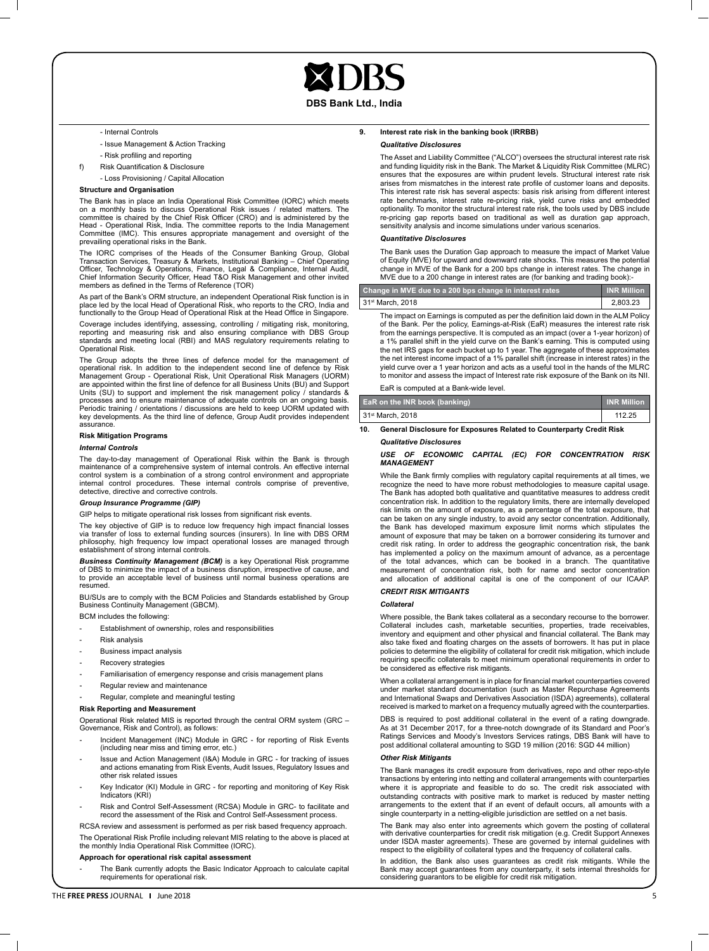**DBS Bank Ltd., India**

#### - Internal Controls

- Issue Management & Action Tracking
- Risk profiling and reporting
- f) Risk Quantification & Disclosure
	- Loss Provisioning / Capital Allocation

#### **Structure and Organisation**

The Bank has in place an India Operational Risk Committee (IORC) which meets on a monthly basis to discuss Operational Risk issues / related matters. The committee is chaired by the Chief Risk Officer (CRO) and is administered by the<br>Head - Operational Risk, India. The committee reports to the India Management<br>Committee (IMC). This ensures appropriate management and oversig

The IORC comprises of the Heads of the Consumer Banking Group, Global Transaction Services, Treasury & Markets, Institutional Banking – Chief Operating<br>Officer, Technology & Operations, Finance, Legal & Compliance, Internal Audit,<br>Chief Information Security Officer, Head T&O Risk Management

As part of the Bank's ORM structure, an independent Operational Risk function is in place led by the local Head of Operational Risk, who reports to the CRO, India and functionally to the Group Head of Operational Risk at the Head Office in Singapore.

Coverage includes identifying, assessing, controlling / mitigating risk, monitoring,<br>reporting and measuring risk and also ensuring compliance with DBS Group<br>standards and meeting local (RBI) and MAS regulatory requirement Operational Risk.

The Group adopts the three lines of defence model for the management of operational risk. In addition to the independent second line of defence by Risk<br>Management Group - Operational Risk, Unit Operational Risk Managers (UORM)<br>are appointed within the first line of defence for all Business Uni Units (SU) to support and implement the risk management policy / standards & processes and to ensure maintenance of adequate controls on an ongoing basis. Periodic training / orientations / discussions are held to keep UORM updated with key developments. As the third line of defence, Group Audit provides independent assurance.

#### **Risk Mitigation Programs**

#### *Internal Controls*

The day-to-day management of Operational Risk within the Bank is through maintenance of a comprehensive system of internal controls. An effective internal control system is a combination of a strong control environment and appropriate internal control procedures. These internal controls comprise of preventive, detective, directive and corrective controls.

#### *Group Insurance Programme (GIP)*

GIP helps to mitigate operational risk losses from significant risk events.

The key objective of GIP is to reduce low frequency high impact financial loss via transfer of loss to external funding sources (insurers). In line with DBS ORM<br>philosophy, high frequency low impact operational losses are managed through<br>establishment of strong internal controls.

*Business Continuity Management (BCM)* is a key Operational Risk programme of DBS to minimize the impact of a business disruption, irrespective of cause, and to provide an acceptable level of business until normal business operations are resumed.

BU/SUs are to comply with the BCM Policies and Standards established by Group Business Continuity Management (GBCM).

BCM includes the following:

- Establishment of ownership, roles and responsibilities
- Risk analysis
- Business impact analysis
- Recovery strategies
- 
- Familiarisation of emergency response and crisis management plans
- Regular review and maintenance
- Regular, complete and meaningful testing

#### **Risk Reporting and Measurement**

Operational Risk related MIS is reported through the central ORM system (GRC – Governance, Risk and Control), as follows:

- Incident Management (INC) Module in GRC for reporting of Risk Events (including near miss and timing error, etc.)
- Issue and Action Management (I&A) Module in GRC for tracking of issues and actions emanating from Risk Events, Audit Issues, Regulatory Issues and other risk related issues
- Key Indicator (KI) Module in GRC for reporting and monitoring of Key Risk Indicators (KRI)
- Risk and Control Self-Assessment (RCSA) Module in GRC- to facilitate and record the assessment of the Risk and Control Self-Assessment process.

RCSA review and assessment is performed as per risk based frequency approach.

The Operational Risk Profile including relevant MIS relating to the above is placed at the monthly India Operational Risk Committee (IORC). **Approach for operational risk capital assessment**

The Bank currently adopts the Basic Indicator Approach to calculate capital requirements for operational risk.

#### **9. Interest rate risk in the banking book (IRRBB)** *Qualitative Disclosures*

The Asset and Liability Committee ("ALCO") oversees the structural interest rate risk and funding liquidity risk in the Bank. The Market & Liquidity Risk Committee (MLRC) ensures that the exposures are within prudent levels. Structural interest rate risk arises from mismatches in the interest rate profile of customer loans and deposits. This interest rate risk has several aspects: basis risk arising from different interest rate benchmarks, interest rate re-pricing risk, yield curve risks and embedded optionality. To monitor the structural interest rate risk, the tools used by DBS include re-pricing gap reports based on traditional as well as duration gap approach, sensitivity analysis and income simulations under various scenarios.

#### *Quantitative Disclosures*

The Bank uses the Duration Gap approach to measure the impact of Market Value of Equity (MVE) for upward and downward rate shocks. This measures the potential change in MVE of the Bank for a 200 bps change in interest rates. The change in MVE due to a 200 change in interest rates are (for banking and trading book):

| Change in MVE due to a 200 bps change in interest rates | <b>INR Million</b> |
|---------------------------------------------------------|--------------------|
| 31 <sup>st</sup> March, 2018                            | 2.803.23           |

The impact on Earnings is computed as per the definition laid down in the ALM Policy of the Bank. Per the policy, Earnings-at-Risk (EaR) measures the interest rate risk from the earnings perspective. It is computed as an impact (over a 1-year horizon) of a 1% parallel shift in the yield curve on the Bank's earning. This is computed using the net IRS gaps for each bucket up to 1 year. The aggregate of these approximates the net interest income impact of a 1% parallel shift (increase in interest rates) in the yield curve over a 1 year horizon and acts as a useful tool in the hands of the MLRC to monitor and assess the impact of Interest rate risk exposure of the Bank on its NII.

EaR is computed at a Bank-wide level.

| EaR on the INR book (banking) | <b>INR Million</b> |
|-------------------------------|--------------------|
| 31 <sup>st</sup> March, 2018  | 112.25             |

**10. General Disclosure for Exposures Related to Counterparty Credit Risk** *Qualitative Disclosures*

#### *USE OF ECONOMIC CAPITAL (EC) FOR CONCENTRATION RISK MANAGEMENT*

While the Bank firmly complies with regulatory capital requirements at all times, we recognize the need to have more robust methodologies to measure capital usage. The Bank has adopted both qualitative and quantitative measures to address credit concentration risk. In addition to the regulatory limits, there are internally developed risk limits on the amount of exposure, as a percentage of the total exposure, that can be taken on any single industry, to avoid any sector concentration. Additionally, the Bank has developed maximum exposure limit norms which stipulates the amount of exposure that may be taken on a borrower considering its turnover and credit risk rating. In order to address the geographic concentration risk, the bank has implemented a policy on the maximum amount of advance, as a percentage of the total advances, which can be booked in a branch. The quantitative measurement of concentration risk, both for name and sector concentration and allocation of additional capital is one of the component of our ICAAP.

#### *CREDIT RISK MITIGANTS*

#### *Collateral*

Where possible, the Bank takes collateral as a secondary recourse to the borrower. Collateral includes cash, marketable securities, properties, trade receivables, inventory and equipment and other physical and financial collateral. The Bank may also take fixed and floating charges on the assets of borrowers. It has put in place policies to determine the eligibility of collateral for credit risk mitigation, which include requiring specific collaterals to meet minimum operational requirements in order to be considered as effective risk mitigants.

When a collateral arrangement is in place for financial market counterparties covered under market standard documentation (such as Master Repurchase Agreements and International Swaps and Derivatives Association (ISDA) agreements), collateral received is marked to market on a frequency mutually agreed with the counterparties.

DBS is required to post additional collateral in the event of a rating downgrade. As at 31 December 2017, for a three-notch downgrade of its Standard and Poor's Ratings Services and Moody's Investors Services ratings, DBS Bank will have to post additional collateral amounting to SGD 19 million (2016: SGD 44 million)

#### *Other Risk Mitigants*

The Bank manages its credit exposure from derivatives, repo and other repo-style transactions by entering into netting and collateral arrangements with counterparties where it is appropriate and feasible to do so. The credit risk associated with outstanding contracts with positive mark to market is reduced by master netting arrangements to the extent that if an event of default occurs, all amounts with a single counterparty in a netting-eligible jurisdiction are settled on a net basis

The Bank may also enter into agreements which govern the posting of collateral with derivative counterparties for credit risk mitigation (e.g. Credit Support Annexes under ISDA master agreements). These are governed by internal guidelines with respect to the eligibility of collateral types and the frequency of collateral calls.

In addition, the Bank also uses guarantees as credit risk mitigants. While the Bank may accept guarantees from any counterparty, it sets internal thresholds for considering guarantors to be eligible for credit risk mitigation.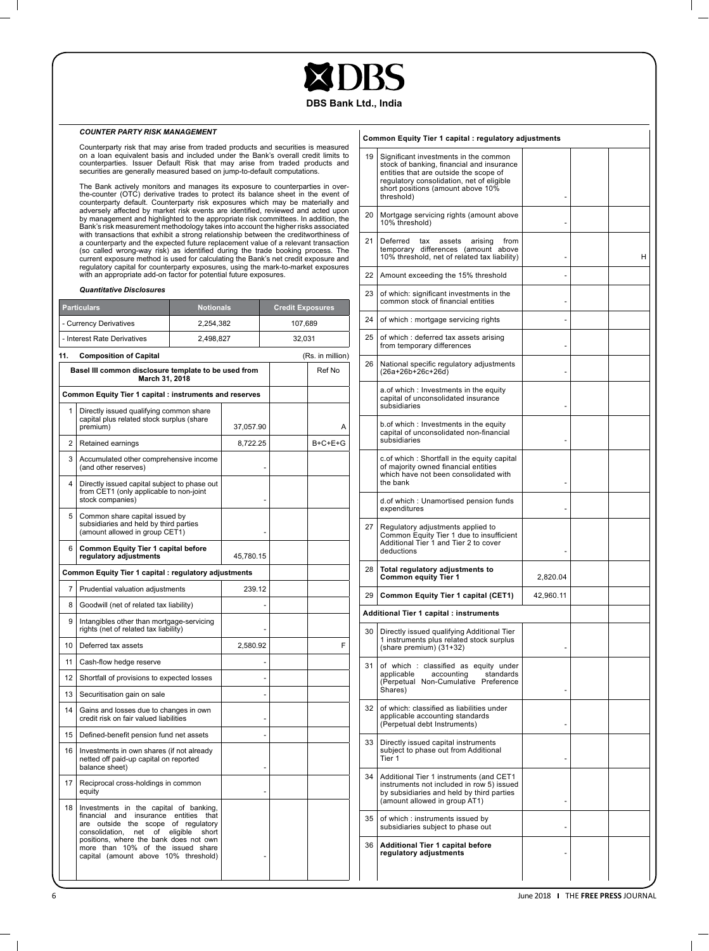# **XDRS**

## **DBS Bank Ltd., India**

#### *COUNTER PARTY RISK MANAGEMENT*

Counterparty risk that may arise from traded products and securities is measured on a loan equivalent basis and included under the Bank's overall credit limits to counterparties. Issuer Default Risk that may arise from traded products and securities are generally measured based on jump-to-default computations.

The Bank actively monitors and manages its exposure to counterparties in over-<br>the-counter (OTC) derivative trades to protect its balance sheet in the event of<br>counterparty default. Counterparty risk exposures which may be

#### *Quantitative Disclosures*

|                                                                                  | <b>Particulars</b>                                                                                                                                                                                                                                                              | <b>Notionals</b> |           | <b>Credit Exposures</b> |  |                  |
|----------------------------------------------------------------------------------|---------------------------------------------------------------------------------------------------------------------------------------------------------------------------------------------------------------------------------------------------------------------------------|------------------|-----------|-------------------------|--|------------------|
|                                                                                  | - Currency Derivatives                                                                                                                                                                                                                                                          | 2,254,382        |           | 107,689                 |  |                  |
|                                                                                  | - Interest Rate Derivatives                                                                                                                                                                                                                                                     | 2,498,827        |           | 32,031                  |  |                  |
| 11.<br><b>Composition of Capital</b>                                             |                                                                                                                                                                                                                                                                                 |                  |           |                         |  | (Rs. in million) |
| Ref No<br>Basel III common disclosure template to be used from<br>March 31, 2018 |                                                                                                                                                                                                                                                                                 |                  |           |                         |  |                  |
|                                                                                  | Common Equity Tier 1 capital : instruments and reserves                                                                                                                                                                                                                         |                  |           |                         |  |                  |
| 1                                                                                | Directly issued qualifying common share<br>capital plus related stock surplus (share<br>premium)                                                                                                                                                                                |                  | 37,057.90 |                         |  | A                |
| 2                                                                                | Retained earnings                                                                                                                                                                                                                                                               |                  | 8,722.25  |                         |  | $B+C+E+G$        |
| 3                                                                                | Accumulated other comprehensive income<br>(and other reserves)                                                                                                                                                                                                                  |                  |           |                         |  |                  |
| 4                                                                                | Directly issued capital subject to phase out<br>from CET1 (only applicable to non-joint<br>stock companies)                                                                                                                                                                     |                  |           |                         |  |                  |
| 5                                                                                | Common share capital issued by<br>subsidiaries and held by third parties<br>(amount allowed in group CET1)                                                                                                                                                                      |                  |           |                         |  |                  |
| 6                                                                                | Common Equity Tier 1 capital before<br>regulatory adjustments                                                                                                                                                                                                                   |                  | 45,780.15 |                         |  |                  |
|                                                                                  | Common Equity Tier 1 capital : regulatory adjustments                                                                                                                                                                                                                           |                  |           |                         |  |                  |
| 7                                                                                | Prudential valuation adjustments                                                                                                                                                                                                                                                |                  | 239.12    |                         |  |                  |
| 8                                                                                | Goodwill (net of related tax liability)                                                                                                                                                                                                                                         |                  |           |                         |  |                  |
| 9                                                                                | Intangibles other than mortgage-servicing<br>rights (net of related tax liability)                                                                                                                                                                                              |                  |           |                         |  |                  |
| 10                                                                               | Deferred tax assets                                                                                                                                                                                                                                                             |                  | 2,580.92  |                         |  | F                |
| 11                                                                               | Cash-flow hedge reserve                                                                                                                                                                                                                                                         |                  |           |                         |  |                  |
| 12                                                                               | Shortfall of provisions to expected losses                                                                                                                                                                                                                                      |                  |           | ٠                       |  |                  |
| 13                                                                               | Securitisation gain on sale                                                                                                                                                                                                                                                     |                  |           | ä,                      |  |                  |
| 14                                                                               | Gains and losses due to changes in own<br>credit risk on fair valued liabilities                                                                                                                                                                                                |                  |           |                         |  |                  |
| 15                                                                               | Defined-benefit pension fund net assets                                                                                                                                                                                                                                         |                  |           |                         |  |                  |
| 16                                                                               | Investments in own shares (if not already<br>netted off paid-up capital on reported<br>balance sheet)                                                                                                                                                                           |                  |           | ٠                       |  |                  |
| 17                                                                               | Reciprocal cross-holdings in common<br>equity                                                                                                                                                                                                                                   |                  |           |                         |  |                  |
| 18                                                                               | Investments in the capital of banking,<br>financial and insurance entities that<br>are outside the scope of regulatory<br>consolidation, net of eligible<br>positions, where the bank does not own<br>more than 10% of the issued share<br>capital (amount above 10% threshold) | short            |           |                         |  |                  |

|    | Common Equity Tier 1 capital : regulatory adjustments                                                                                                                                                                        |           |   |
|----|------------------------------------------------------------------------------------------------------------------------------------------------------------------------------------------------------------------------------|-----------|---|
| 19 | Significant investments in the common<br>stock of banking, financial and insurance<br>entities that are outside the scope of<br>regulatory consolidation, net of eligible<br>short positions (amount above 10%<br>threshold) |           |   |
| 20 | Mortgage servicing rights (amount above<br>10% threshold)                                                                                                                                                                    |           |   |
| 21 | Deferred<br>tax<br>assets<br>from<br>arising<br>temporary differences (amount above<br>10% threshold, net of related tax liability)                                                                                          |           | н |
| 22 | Amount exceeding the 15% threshold                                                                                                                                                                                           |           |   |
| 23 | of which: significant investments in the<br>common stock of financial entities                                                                                                                                               |           |   |
| 24 | of which: mortgage servicing rights                                                                                                                                                                                          |           |   |
| 25 | of which: deferred tax assets arising<br>from temporary differences                                                                                                                                                          |           |   |
| 26 | National specific regulatory adjustments<br>(26a+26b+26c+26d)                                                                                                                                                                |           |   |
|    | a.of which: Investments in the equity<br>capital of unconsolidated insurance<br>subsidiaries                                                                                                                                 |           |   |
|    | b.of which: Investments in the equity<br>capital of unconsolidated non-financial<br>subsidiaries                                                                                                                             |           |   |
|    | c.of which: Shortfall in the equity capital<br>of majority owned financial entities<br>which have not been consolidated with<br>the bank                                                                                     |           |   |
|    | d.of which: Unamortised pension funds<br>expenditures                                                                                                                                                                        |           |   |
| 27 | Regulatory adjustments applied to<br>Common Equity Tier 1 due to insufficient<br>Additional Tier 1 and Tier 2 to cover<br>deductions                                                                                         |           |   |
| 28 | Total regulatory adjustments to<br><b>Common equity Tier 1</b>                                                                                                                                                               | 2,820.04  |   |
| 29 | Common Equity Tier 1 capital (CET1)                                                                                                                                                                                          | 42,960.11 |   |
|    | Additional Tier 1 capital : instruments                                                                                                                                                                                      |           |   |
| 30 | Directly issued qualifying Additional Tier<br>1 instruments plus related stock surplus<br>(share premium) (31+32)                                                                                                            |           |   |
| 31 | of which : classified as equity under<br>applicable<br>accounting<br>standards<br>(Perpetual Non-Cumulative Preference<br>Shares)                                                                                            |           |   |
| 32 | of which: classified as liabilities under<br>applicable accounting standards<br>(Perpetual debt Instruments)                                                                                                                 |           |   |
| 33 | Directly issued capital instruments<br>subject to phase out from Additional<br>Tier 1                                                                                                                                        |           |   |
| 34 | Additional Tier 1 instruments (and CET1<br>instruments not included in row 5) issued<br>by subsidiaries and held by third parties<br>(amount allowed in group AT1)                                                           |           |   |
| 35 | of which: instruments issued by<br>subsidiaries subject to phase out                                                                                                                                                         |           |   |
| 36 | <b>Additional Tier 1 capital before</b><br>regulatory adjustments                                                                                                                                                            |           |   |
|    |                                                                                                                                                                                                                              |           |   |

 $\Box$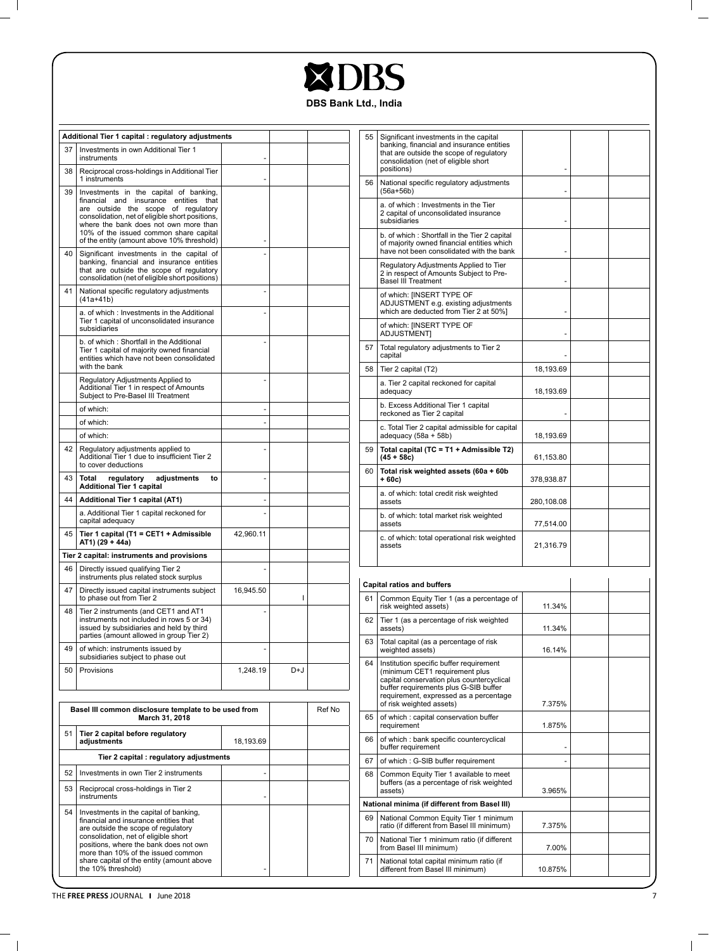| <b>XDBS</b> |
|-------------|
|             |

|  |  |  | <b>DBS Bank Ltd., India</b> |
|--|--|--|-----------------------------|
|--|--|--|-----------------------------|

| Additional Tier 1 capital : regulatory adjustments |                                                                                                                                                                                                                    |           | 55  | Significant investments in the capital |    |                                                                                                                                                                                                           |            |  |
|----------------------------------------------------|--------------------------------------------------------------------------------------------------------------------------------------------------------------------------------------------------------------------|-----------|-----|----------------------------------------|----|-----------------------------------------------------------------------------------------------------------------------------------------------------------------------------------------------------------|------------|--|
| 37                                                 | Investments in own Additional Tier 1<br>instruments                                                                                                                                                                |           |     |                                        |    | banking, financial and insurance entities<br>that are outside the scope of regulatory<br>consolidation (net of eligible short                                                                             |            |  |
| 38                                                 | Reciprocal cross-holdings in Additional Tier<br>1 instruments                                                                                                                                                      |           |     |                                        | 56 | positions)<br>National specific regulatory adjustments                                                                                                                                                    |            |  |
| 39                                                 | Investments in the capital of banking,<br>financial and insurance entities that<br>are outside the scope of regulatory<br>consolidation, net of eligible short positions,<br>where the bank does not own more than |           |     |                                        |    | $(56a+56b)$<br>a. of which: Investments in the Tier<br>2 capital of unconsolidated insurance<br>subsidiaries                                                                                              |            |  |
| 40                                                 | 10% of the issued common share capital<br>of the entity (amount above 10% threshold)<br>Significant investments in the capital of                                                                                  |           |     |                                        |    | b. of which: Shortfall in the Tier 2 capital<br>of majority owned financial entities which<br>have not been consolidated with the bank                                                                    |            |  |
|                                                    | banking, financial and insurance entities<br>that are outside the scope of regulatory<br>consolidation (net of eligible short positions)                                                                           |           |     |                                        |    | Regulatory Adjustments Applied to Tier<br>2 in respect of Amounts Subject to Pre-<br><b>Basel III Treatment</b>                                                                                           |            |  |
| 41                                                 | National specific regulatory adjustments<br>$(41a+41b)$                                                                                                                                                            |           |     |                                        |    | of which: [INSERT TYPE OF<br>ADJUSTMENT e.g. existing adjustments<br>which are deducted from Tier 2 at 50%]                                                                                               |            |  |
|                                                    | a. of which: Investments in the Additional<br>Tier 1 capital of unconsolidated insurance<br>subsidiaries                                                                                                           |           |     |                                        |    | of which: [INSERT TYPE OF<br><b>ADJUSTMENT</b>                                                                                                                                                            |            |  |
|                                                    | b. of which: Shortfall in the Additional<br>Tier 1 capital of majority owned financial<br>entities which have not been consolidated                                                                                |           |     |                                        | 57 | Total regulatory adjustments to Tier 2<br>capital                                                                                                                                                         |            |  |
|                                                    | with the bank                                                                                                                                                                                                      |           |     |                                        | 58 | Tier 2 capital (T2)                                                                                                                                                                                       | 18,193.69  |  |
|                                                    | Regulatory Adjustments Applied to<br>Additional Tier 1 in respect of Amounts<br>Subject to Pre-Basel III Treatment                                                                                                 |           |     |                                        |    | a. Tier 2 capital reckoned for capital<br>adequacy                                                                                                                                                        | 18,193.69  |  |
|                                                    | of which:<br>of which:                                                                                                                                                                                             |           |     |                                        |    | b. Excess Additional Tier 1 capital<br>reckoned as Tier 2 capital                                                                                                                                         |            |  |
|                                                    | of which:                                                                                                                                                                                                          |           |     |                                        |    | c. Total Tier 2 capital admissible for capital<br>adequacy (58a + 58b)                                                                                                                                    | 18,193.69  |  |
| 42                                                 | Regulatory adjustments applied to<br>Additional Tier 1 due to insufficient Tier 2<br>to cover deductions                                                                                                           |           |     |                                        | 59 | Total capital (TC = T1 + Admissible T2)<br>$(45 + 58c)$                                                                                                                                                   | 61,153.80  |  |
| 43                                                 | Total<br>regulatory<br>adjustments<br>to<br><b>Additional Tier 1 capital</b>                                                                                                                                       |           |     |                                        | 60 | Total risk weighted assets (60a + 60b<br>+ 60c)                                                                                                                                                           | 378,938.87 |  |
| 44                                                 | Additional Tier 1 capital (AT1)                                                                                                                                                                                    |           |     |                                        |    | a. of which: total credit risk weighted<br>assets                                                                                                                                                         | 280,108.08 |  |
|                                                    | a. Additional Tier 1 capital reckoned for<br>capital adequacy                                                                                                                                                      |           |     |                                        |    | b. of which: total market risk weighted<br>assets                                                                                                                                                         | 77,514.00  |  |
| 45                                                 | Tier 1 capital (T1 = CET1 + Admissible<br>AT1) (29 + 44a)                                                                                                                                                          | 42,960.11 |     |                                        |    | c. of which: total operational risk weighted<br>assets                                                                                                                                                    | 21,316.79  |  |
|                                                    | Tier 2 capital: instruments and provisions                                                                                                                                                                         |           |     |                                        |    |                                                                                                                                                                                                           |            |  |
| 46                                                 | Directly issued qualifying Tier 2<br>instruments plus related stock surplus                                                                                                                                        |           |     |                                        |    | <b>Capital ratios and buffers</b>                                                                                                                                                                         |            |  |
| 47                                                 | Directly issued capital instruments subject<br>to phase out from Tier 2                                                                                                                                            | 16,945.50 | ı   |                                        | 61 | Common Equity Tier 1 (as a percentage of<br>risk weighted assets)                                                                                                                                         | 11.34%     |  |
| 48                                                 | Tier 2 instruments (and CET1 and AT1<br>instruments not included in rows 5 or 34)<br>issued by subsidiaries and held by third<br>parties (amount allowed in group Tier 2)                                          |           |     |                                        | 62 | Tier 1 (as a percentage of risk weighted<br>assets)                                                                                                                                                       | 11.34%     |  |
| 49                                                 | of which: instruments issued by<br>subsidiaries subject to phase out                                                                                                                                               |           |     |                                        | 63 | Total capital (as a percentage of risk<br>weighted assets)                                                                                                                                                | 16.14%     |  |
| 50                                                 | <b>Provisions</b>                                                                                                                                                                                                  | 1,248.19  | D+J |                                        | 64 | Institution specific buffer requirement<br>(minimum CET1 requirement plus<br>capital conservation plus countercyclical<br>buffer requirements plus G-SIB buffer<br>requirement, expressed as a percentage | 7.375%     |  |
|                                                    | Basel III common disclosure template to be used from<br>March 31, 2018                                                                                                                                             |           |     | Ref No                                 | 65 | of risk weighted assets)<br>of which: capital conservation buffer<br>requirement                                                                                                                          | 1.875%     |  |
| 51                                                 | Tier 2 capital before regulatory<br>adjustments                                                                                                                                                                    | 18,193.69 |     |                                        | 66 | of which : bank specific countercyclical<br>buffer requirement                                                                                                                                            |            |  |
|                                                    | Tier 2 capital : regulatory adjustments                                                                                                                                                                            |           |     |                                        | 67 | of which: G-SIB buffer requirement                                                                                                                                                                        |            |  |
| 52                                                 | Investments in own Tier 2 instruments                                                                                                                                                                              |           |     |                                        | 68 | Common Equity Tier 1 available to meet<br>buffers (as a percentage of risk weighted                                                                                                                       |            |  |
| 53                                                 | Reciprocal cross-holdings in Tier 2<br>instruments                                                                                                                                                                 |           |     |                                        |    | assets)<br>National minima (if different from Basel III)                                                                                                                                                  | 3.965%     |  |
| 54                                                 | Investments in the capital of banking,                                                                                                                                                                             |           |     |                                        | 69 |                                                                                                                                                                                                           |            |  |
|                                                    | financial and insurance entities that<br>are outside the scope of regulatory<br>consolidation, net of eligible short                                                                                               |           |     |                                        | 70 | National Common Equity Tier 1 minimum<br>ratio (if different from Basel III minimum)<br>National Tier 1 minimum ratio (if different                                                                       | 7.375%     |  |
|                                                    | positions, where the bank does not own<br>more than 10% of the issued common<br>share capital of the entity (amount above                                                                                          |           |     |                                        | 71 | from Basel III minimum)<br>National total capital minimum ratio (if                                                                                                                                       | 7.00%      |  |
|                                                    | the 10% threshold)                                                                                                                                                                                                 |           |     |                                        |    | different from Basel III minimum)                                                                                                                                                                         | 10.875%    |  |

The **FREE PRESS** Journal June 2018

 $\overline{\phantom{a}}_1$ 

 $\mathbb{R}$ 

 $\overline{\phantom{0}}$  $\mathbb{R}^n$ 

 $\mathbf{I}$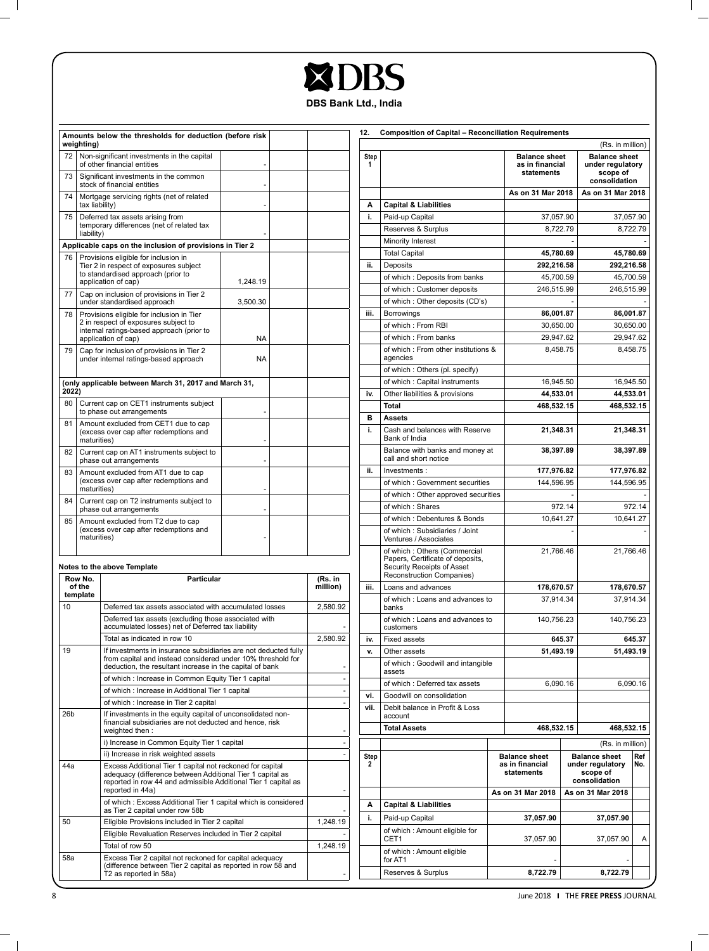| DBS<br>$\overline{\phantom{0}}$ |  |
|---------------------------------|--|
| DRC Rank I td India             |  |

|                 | weighting)                                                                                   | Amounts below the thresholds for deduction (before risk                                                                                                                                                      |          |  |                     | 12.      |
|-----------------|----------------------------------------------------------------------------------------------|--------------------------------------------------------------------------------------------------------------------------------------------------------------------------------------------------------------|----------|--|---------------------|----------|
| 72              |                                                                                              | Non-significant investments in the capital<br>of other financial entities                                                                                                                                    |          |  |                     | Ste<br>1 |
| 73              |                                                                                              | Significant investments in the common<br>stock of financial entities                                                                                                                                         |          |  |                     |          |
| 74              | tax liability)                                                                               | Mortgage servicing rights (net of related                                                                                                                                                                    |          |  |                     | А        |
| 75              | liability)                                                                                   | Deferred tax assets arising from<br>temporary differences (net of related tax                                                                                                                                |          |  |                     | i.       |
|                 |                                                                                              | Applicable caps on the inclusion of provisions in Tier 2                                                                                                                                                     |          |  |                     |          |
| 76              |                                                                                              | Provisions eligible for inclusion in<br>Tier 2 in respect of exposures subject<br>to standardised approach (prior to<br>application of cap)                                                                  | 1.248.19 |  |                     | ii.      |
| 77              |                                                                                              | Cap on inclusion of provisions in Tier 2<br>under standardised approach                                                                                                                                      | 3.500.30 |  |                     |          |
| 78              |                                                                                              | Provisions eligible for inclusion in Tier<br>2 in respect of exposures subject to<br>internal ratings-based approach (prior to<br>application of cap)                                                        | NA       |  |                     | iii.     |
| 79              |                                                                                              | Cap for inclusion of provisions in Tier 2<br>under internal ratings-based approach                                                                                                                           | NA       |  |                     |          |
| 2022)           |                                                                                              | (only applicable between March 31, 2017 and March 31,                                                                                                                                                        |          |  |                     | iv.      |
| 80              |                                                                                              | Current cap on CET1 instruments subject<br>to phase out arrangements                                                                                                                                         |          |  |                     |          |
| 81              | maturities)                                                                                  | Amount excluded from CET1 due to cap<br>(excess over cap after redemptions and                                                                                                                               |          |  |                     | в<br>i.  |
| 82              |                                                                                              | Current cap on AT1 instruments subject to<br>phase out arrangements                                                                                                                                          |          |  |                     |          |
| 83              | Amount excluded from AT1 due to cap<br>(excess over cap after redemptions and<br>maturities) |                                                                                                                                                                                                              |          |  |                     | ii.      |
| 84              |                                                                                              | Current cap on T2 instruments subject to<br>phase out arrangements                                                                                                                                           |          |  |                     |          |
| 85              | maturities)                                                                                  | Amount excluded from T2 due to cap<br>(excess over cap after redemptions and                                                                                                                                 |          |  |                     |          |
|                 |                                                                                              | Notes to the above Template                                                                                                                                                                                  |          |  |                     |          |
|                 | Row No.<br>of the<br>template                                                                | <b>Particular</b>                                                                                                                                                                                            |          |  | (Rs. in<br>million) | iii.     |
| 10              |                                                                                              | Deferred tax assets associated with accumulated losses                                                                                                                                                       |          |  | 2,580.92            |          |
|                 |                                                                                              | Deferred tax assets (excluding those associated with<br>accumulated losses) net of Deferred tax liability                                                                                                    |          |  |                     |          |
|                 |                                                                                              | Total as indicated in row 10                                                                                                                                                                                 |          |  | 2.580.92            | iv.      |
| 19              |                                                                                              | If investments in insurance subsidiaries are not deducted fully<br>from capital and instead considered under 10% threshold for<br>deduction, the resultant increase in the capital of bank                   |          |  |                     |          |
|                 |                                                                                              | of which : Increase in Common Equity Tier 1 capital                                                                                                                                                          |          |  |                     |          |
|                 |                                                                                              | of which: Increase in Additional Tier 1 capital                                                                                                                                                              |          |  |                     | vi.      |
| 26 <sub>b</sub> |                                                                                              | of which : Increase in Tier 2 capital<br>If investments in the equity capital of unconsolidated non-<br>financial subsidiaries are not deducted and hence, risk<br>weighted then:                            |          |  |                     | vii.     |
|                 |                                                                                              | i) Increase in Common Equity Tier 1 capital                                                                                                                                                                  |          |  |                     |          |
|                 |                                                                                              | ii) Increase in risk weighted assets                                                                                                                                                                         |          |  |                     | Ste      |
| 44a             |                                                                                              | Excess Additional Tier 1 capital not reckoned for capital<br>adequacy (difference between Additional Tier 1 capital as<br>reported in row 44 and admissible Additional Tier 1 capital as<br>reported in 44a) |          |  |                     |          |
|                 |                                                                                              | of which: Excess Additional Tier 1 capital which is considered<br>as Tier 2 capital under row 58b                                                                                                            |          |  |                     |          |
| 50              |                                                                                              | Eligible Provisions included in Tier 2 capital                                                                                                                                                               |          |  | 1,248.19            |          |
|                 |                                                                                              | Eligible Revaluation Reserves included in Tier 2 capital<br>Total of row 50                                                                                                                                  |          |  | 1,248.19            |          |
| 58a             |                                                                                              | Excess Tier 2 capital not reckoned for capital adequacy<br>(difference between Tier 2 capital as reported in row 58 and<br>T2 as reported in 58a)                                                            |          |  |                     |          |
|                 |                                                                                              |                                                                                                                                                                                                              |          |  |                     |          |

| 2.        | <b>Composition of Capital - Reconciliation Requirements</b>                                                                 |                               |                                                                                                               | (Rs. in million)                              |        |
|-----------|-----------------------------------------------------------------------------------------------------------------------------|-------------------------------|---------------------------------------------------------------------------------------------------------------|-----------------------------------------------|--------|
| Step<br>1 |                                                                                                                             |                               | <b>Balance sheet</b><br><b>Balance sheet</b><br>as in financial<br>under regulatory<br>statements<br>scope of |                                               |        |
|           |                                                                                                                             | As on 31 Mar 2018             |                                                                                                               | consolidation<br>As on 31 Mar 2018            |        |
| А         | <b>Capital &amp; Liabilities</b>                                                                                            |                               |                                                                                                               |                                               |        |
| i.        | Paid-up Capital                                                                                                             | 37,057.90                     |                                                                                                               | 37,057.90                                     |        |
|           | Reserves & Surplus                                                                                                          | 8,722.79                      |                                                                                                               | 8,722.79                                      |        |
|           | Minority Interest                                                                                                           |                               |                                                                                                               |                                               |        |
|           | <b>Total Capital</b>                                                                                                        | 45,780.69                     |                                                                                                               | 45,780.69                                     |        |
| ii.       | Deposits                                                                                                                    | 292,216.58                    |                                                                                                               | 292,216.58                                    |        |
|           | of which: Deposits from banks                                                                                               | 45,700.59                     |                                                                                                               | 45,700.59                                     |        |
|           | of which: Customer deposits                                                                                                 | 246,515.99                    |                                                                                                               | 246,515.99                                    |        |
|           | of which: Other deposits (CD's)                                                                                             |                               |                                                                                                               |                                               |        |
| iii.      | Borrowings                                                                                                                  | 86,001.87                     |                                                                                                               | 86,001.87                                     |        |
|           | of which: From RBI                                                                                                          | 30,650.00                     |                                                                                                               | 30,650.00                                     |        |
|           | of which: From banks                                                                                                        | 29,947.62                     |                                                                                                               | 29,947.62                                     |        |
|           | of which: From other institutions &<br>agencies                                                                             | 8,458.75                      |                                                                                                               | 8,458.75                                      |        |
|           | of which: Others (pl. specify)                                                                                              |                               |                                                                                                               |                                               |        |
|           | of which: Capital instruments                                                                                               | 16,945.50                     |                                                                                                               | 16,945.50                                     |        |
| iv.       | Other liabilities & provisions                                                                                              | 44,533.01                     |                                                                                                               | 44,533.01                                     |        |
|           | Total                                                                                                                       | 468,532.15                    |                                                                                                               | 468,532.15                                    |        |
| в         | <b>Assets</b>                                                                                                               |                               |                                                                                                               |                                               |        |
| i.        | Cash and balances with Reserve<br>Bank of India                                                                             | 21,348.31                     |                                                                                                               | 21,348.31                                     |        |
|           | Balance with banks and money at<br>call and short notice                                                                    | 38,397.89                     |                                                                                                               | 38,397.89                                     |        |
| ii.       | Investments:                                                                                                                | 177,976.82                    |                                                                                                               | 177,976.82                                    |        |
|           | of which: Government securities                                                                                             | 144,596.95                    |                                                                                                               | 144,596.95                                    |        |
|           | of which: Other approved securities                                                                                         |                               | ä,                                                                                                            |                                               |        |
|           | of which: Shares                                                                                                            |                               | 972.14                                                                                                        |                                               | 972.14 |
|           | of which: Debentures & Bonds                                                                                                | 10,641.27                     |                                                                                                               | 10,641.27                                     |        |
|           | of which: Subsidiaries / Joint<br>Ventures / Associates                                                                     |                               |                                                                                                               |                                               |        |
|           | of which: Others (Commercial<br>Papers, Certificate of deposits,<br>Security Receipts of Asset<br>Reconstruction Companies) | 21,766.46                     |                                                                                                               | 21,766.46                                     |        |
| iii.      | Loans and advances                                                                                                          | 178,670.57                    |                                                                                                               | 178,670.57                                    |        |
|           | of which: Loans and advances to<br>banks                                                                                    | 37,914.34                     |                                                                                                               | 37,914.34                                     |        |
|           | of which: Loans and advances to<br>customers                                                                                | 140,756.23                    |                                                                                                               | 140,756.23                                    |        |
| iv.       | <b>Fixed assets</b>                                                                                                         |                               | 645.37                                                                                                        |                                               | 645.37 |
| ۷.        | Other assets                                                                                                                | 51,493.19                     |                                                                                                               | 51,493.19                                     |        |
|           | of which: Goodwill and intangible<br>dootio                                                                                 |                               |                                                                                                               |                                               |        |
| vi.       | of which: Deferred tax assets<br>Goodwill on consolidation                                                                  | 6,090.16                      |                                                                                                               | 6,090.16                                      |        |
| vii.      | Debit balance in Profit & Loss<br>account                                                                                   |                               |                                                                                                               |                                               |        |
|           | <b>Total Assets</b>                                                                                                         | 468,532.15                    |                                                                                                               | 468,532.15                                    |        |
|           |                                                                                                                             |                               |                                                                                                               |                                               |        |
| Step      |                                                                                                                             | <b>Balance sheet</b>          |                                                                                                               | (Rs. in million)<br><b>Balance sheet</b>      | Ref    |
| 2         |                                                                                                                             | as in financial<br>statements |                                                                                                               | under regulatory<br>scope of<br>consolidation | No.    |
|           |                                                                                                                             | As on 31 Mar 2018             |                                                                                                               | As on 31 Mar 2018                             |        |
| А         | <b>Capital &amp; Liabilities</b>                                                                                            |                               |                                                                                                               |                                               |        |
| i.        | Paid-up Capital                                                                                                             | 37,057.90                     |                                                                                                               | 37,057.90                                     |        |
|           | of which: Amount eligible for<br>CET1                                                                                       | 37,057.90                     |                                                                                                               | 37,057.90                                     | А      |
|           | of which: Amount eligible<br>for AT1                                                                                        |                               |                                                                                                               |                                               |        |
|           | Reserves & Surplus                                                                                                          | 8,722.79                      |                                                                                                               | 8,722.79                                      |        |

 $\overline{\phantom{0}}$  $\mathbb{R}^n$ 

 $\mathbf{I}$ 

 $=$   $\overline{1}$ 

 $\mathbb{R}$